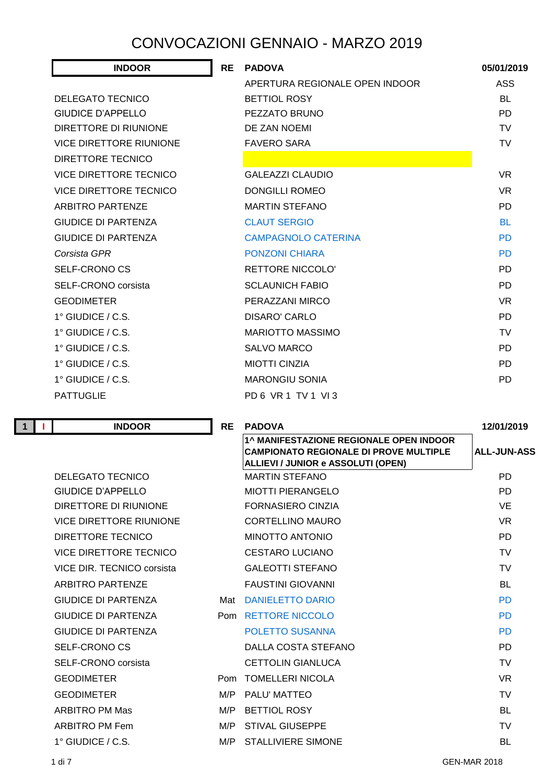## CONVOCAZIONI GENNAIO - MARZO 2019

| <b>INDOOR</b>                  | <b>RE</b> | <b>PADOVA</b>                  | 05/01/2019 |
|--------------------------------|-----------|--------------------------------|------------|
|                                |           | APERTURA REGIONALE OPEN INDOOR | ASS        |
| <b>DELEGATO TECNICO</b>        |           | <b>BETTIOL ROSY</b>            | <b>BL</b>  |
| GIUDICE D'APPELLO              |           | PEZZATO BRUNO                  | <b>PD</b>  |
| DIRETTORE DI RIUNIONE          |           | DE ZAN NOEMI                   | <b>TV</b>  |
| <b>VICE DIRETTORE RIUNIONE</b> |           | <b>FAVERO SARA</b>             | <b>TV</b>  |
| DIRETTORE TECNICO              |           |                                |            |
| VICE DIRETTORE TECNICO         |           | <b>GALEAZZI CLAUDIO</b>        | <b>VR</b>  |
| <b>VICE DIRETTORE TECNICO</b>  |           | <b>DONGILLI ROMEO</b>          | <b>VR</b>  |
| <b>ARBITRO PARTENZE</b>        |           | <b>MARTIN STEFANO</b>          | <b>PD</b>  |
| <b>GIUDICE DI PARTENZA</b>     |           | <b>CLAUT SERGIO</b>            | <b>BL</b>  |
| GIUDICE DI PARTENZA            |           | <b>CAMPAGNOLO CATERINA</b>     | <b>PD</b>  |
| Corsista GPR                   |           | <b>PONZONI CHIARA</b>          | <b>PD</b>  |
| <b>SELF-CRONO CS</b>           |           | <b>RETTORE NICCOLO'</b>        | <b>PD</b>  |
| <b>SELF-CRONO</b> corsista     |           | <b>SCLAUNICH FABIO</b>         | <b>PD</b>  |
| <b>GEODIMETER</b>              |           | PERAZZANI MIRCO                | <b>VR</b>  |
| $1^\circ$ GIUDICE / C.S.       |           | DISARO' CARLO                  | <b>PD</b>  |
| $1^\circ$ GIUDICE / C.S.       |           | <b>MARIOTTO MASSIMO</b>        | <b>TV</b>  |
| $1^\circ$ GIUDICE / C.S.       |           | SALVO MARCO                    | <b>PD</b>  |
| $1^\circ$ GIUDICE / C.S.       |           | <b>MIOTTI CINZIA</b>           | <b>PD</b>  |
| $1^\circ$ GIUDICE / C.S.       |           | <b>MARONGIU SONIA</b>          | <b>PD</b>  |
| <b>PATTUGLIE</b>               |           | PD 6 VR 1 TV 1 VI 3            |            |

**1 I INDOOR RE PADOVA 12/01/2019 1^ MANIFESTAZIONE REGIONALE OPEN INDOOR CAMPIONATO REGIONALE DI PROVE MULTIPLE ALLIEVI / JUNIOR e ASSOLUTI (OPEN) ALL-JUN-ASS** DELEGATO TECNICO MARTIN STEFANO PD GIUDICE D'APPELLO MIOTTI PIERANGELO PD DIRETTORE DI RIUNIONE FORNASIERO CINZIA VE VICE DIRETTORE RIUNIONE CORTELLINO MAURO VR DIRETTORE TECNICO MINOTTO ANTONIO PD VICE DIRETTORE TECNICO CESTARO LUCIANO TV VICE DIR. TECNICO corsista GALEOTTI STEFANO TV ARBITRO PARTENZE FAUSTINI GIOVANNI BL GIUDICE DI PARTENZA Mat DANIELETTO DARIO PO GIUDICE DI PARTENZA Pom RETTORE NICCOLO PD GIUDICE DI PARTENZA POLETTO SUSANNA PD SELF-CRONO CS DALLA COSTA STEFANO PD SELF-CRONO corsista CETTOLIN GIANLUCA TV GEODIMETER **Pom TOMELLERI NICOLA** VR GEODIMETER THE M/P PALU' MATTEO THE SECOND TO THE SECOND TO THE SECOND MATTEO ARBITRO PM Mas **M/P BETTIOL ROSY BL** ARBITRO PM Fem M/P STIVAL GIUSEPPE TV 1° GIUDICE / C.S. M/P STALLIVIERE SIMONE BL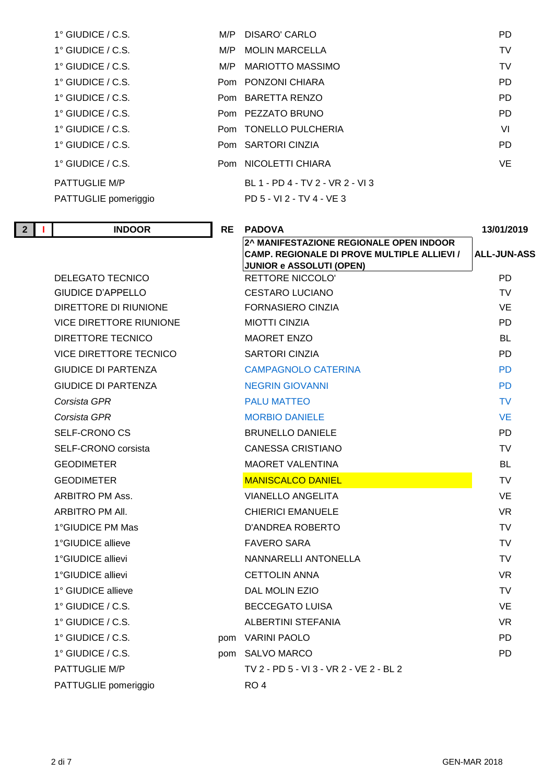| $1^\circ$ GIUDICE / C.S. |     | M/P DISARO' CARLO                | PD.       |
|--------------------------|-----|----------------------------------|-----------|
| $1^\circ$ GIUDICE / C.S. |     | M/P MOLIN MARCELLA               | TV        |
| $1^\circ$ GIUDICE / C.S. | M/P | <b>MARIOTTO MASSIMO</b>          | <b>TV</b> |
| $1^\circ$ GIUDICE / C.S. |     | Pom PONZONI CHIARA               | <b>PD</b> |
| 1° GIUDICE / C.S.        |     | Pom BARETTA RENZO                | <b>PD</b> |
| $1^\circ$ GIUDICE / C.S. |     | Pom PEZZATO BRUNO                | <b>PD</b> |
| $1^\circ$ GIUDICE / C.S. |     | Pom TONELLO PULCHERIA            | VI        |
| $1^\circ$ GIUDICE / C.S. |     | Pom SARTORI CINZIA               | <b>PD</b> |
| $1^\circ$ GIUDICE / C.S. |     | Pom NICOLETTI CHIARA             | VE.       |
| <b>PATTUGLIE M/P</b>     |     | BL 1 - PD 4 - TV 2 - VR 2 - VI 3 |           |
| PATTUGLIE pomeriggio     |     | PD 5 - VI 2 - TV 4 - VE 3        |           |

**2^ MANIFESTAZIONE REGIONALE OPEN INDOOR CAMP. REGIONALE DI PROVE MULTIPLE ALLIEVI /** 

**JUNIOR e ASSOLUTI (OPEN)** 

|  | 2 <sup>1</sup> | <b>INDOOR</b> | <b>RE</b><br>PADOVA | 13/01/2019 |
|--|----------------|---------------|---------------------|------------|
|--|----------------|---------------|---------------------|------------|

DELEGATO TECNICO RETTORE NICCOLO' PD GIUDICE D'APPELLO CESTARO LUCIANO TV DIRETTORE DI RIUNIONE FORNASIERO CINZIA VE VICE DIRETTORE RIUNIONE MIOTTI CINZIA PD DIRETTORE TECNICO MAORET ENZO BL VICE DIRETTORE TECNICO SARTORI CINZIA PD GIUDICE DI PARTENZA CAMPAGNOLO CATERINA PD GIUDICE DI PARTENZA NEGRIN GIOVANNI PD *Corsista GPR* PALU MATTEO TV *Corsista GPR* MORBIO DANIELE VE SELF-CRONO CS BRUNELLO DANIELE PD SELF-CRONO corsista CANESSA CRISTIANO TV GEODIMETER MAORET VALENTINA BL GEODIMETER MANISCALCO DANIEL TV ARBITRO PM Ass. VIANELLO ANGELITA VE ARBITRO PM All. CHIERICI EMANUELE VR 1°GIUDICE PM Mas D'ANDREA ROBERTO TV 1°GIUDICE allieve FAVERO SARA TV 1°GIUDICE allievi NANNARELLI ANTONELLA TV 1°GIUDICE allievi CETTOLIN ANNA VR 1° GIUDICE allieve DAL MOLIN EZIO TV 1° GIUDICE / C.S. BECCEGATO LUISA VE 1° GIUDICE / C.S. ALBERTINI STEFANIA VR 1° GIUDICE / C.S. pom VARINI PAOLO PD 1° GIUDICE / C.S. pom SALVO MARCO PD

PATTUGLIE M/P TV 2 - PD 5 - VI 3 - VR 2 - VE 2 - BL 2

PATTUGLIE pomeriggio RO 4

2 di 7 GEN-MAR 2018

**ALL-JUN-ASS**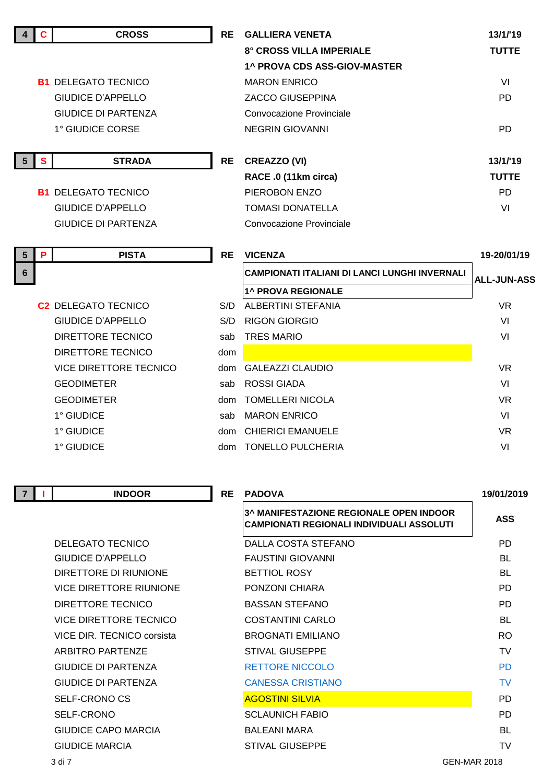|                | C.           | <b>CROSS</b>                   | <b>RE</b> | <b>GALLIERA VENETA</b>                                                               | 13/1/19            |
|----------------|--------------|--------------------------------|-----------|--------------------------------------------------------------------------------------|--------------------|
|                |              |                                |           | 8° CROSS VILLA IMPERIALE                                                             | <b>TUTTE</b>       |
|                |              |                                |           | <b>1^ PROVA CDS ASS-GIOV-MASTER</b>                                                  |                    |
|                |              | <b>B1 DELEGATO TECNICO</b>     |           | <b>MARON ENRICO</b>                                                                  | VI                 |
|                |              | <b>GIUDICE D'APPELLO</b>       |           | <b>ZACCO GIUSEPPINA</b>                                                              | <b>PD</b>          |
|                |              | <b>GIUDICE DI PARTENZA</b>     |           | Convocazione Provinciale                                                             |                    |
|                |              | 1° GIUDICE CORSE               |           | <b>NEGRIN GIOVANNI</b>                                                               | <b>PD</b>          |
|                |              |                                |           |                                                                                      |                    |
| - 5            | $\mathbf{s}$ | <b>STRADA</b>                  | <b>RE</b> | <b>CREAZZO (VI)</b>                                                                  | 13/1/19            |
|                |              |                                |           | RACE .0 (11km circa)                                                                 | <b>TUTTE</b>       |
|                |              | <b>B1 DELEGATO TECNICO</b>     |           | PIEROBON ENZO                                                                        | <b>PD</b>          |
|                |              | <b>GIUDICE D'APPELLO</b>       |           | <b>TOMASI DONATELLA</b>                                                              | VI                 |
|                |              | <b>GIUDICE DI PARTENZA</b>     |           | Convocazione Provinciale                                                             |                    |
| $5\phantom{1}$ | P            | <b>PISTA</b>                   | <b>RE</b> | <b>VICENZA</b>                                                                       | 19-20/01/19        |
| 6              |              |                                |           | <b>CAMPIONATI ITALIANI DI LANCI LUNGHI INVERNALI</b>                                 | <b>ALL-JUN-ASS</b> |
|                |              |                                |           | <b>1^ PROVA REGIONALE</b>                                                            |                    |
|                |              | <b>C2 DELEGATO TECNICO</b>     | S/D       | ALBERTINI STEFANIA                                                                   | <b>VR</b>          |
|                |              | <b>GIUDICE D'APPELLO</b>       | S/D       | <b>RIGON GIORGIO</b>                                                                 | VI                 |
|                |              | <b>DIRETTORE TECNICO</b>       | sab       | <b>TRES MARIO</b>                                                                    | VI                 |
|                |              | DIRETTORE TECNICO              | dom       |                                                                                      |                    |
|                |              | <b>VICE DIRETTORE TECNICO</b>  | dom       | <b>GALEAZZI CLAUDIO</b>                                                              | <b>VR</b>          |
|                |              | <b>GEODIMETER</b>              | sab       | <b>ROSSI GIADA</b>                                                                   | VI                 |
|                |              | <b>GEODIMETER</b>              |           | dom TOMELLERI NICOLA                                                                 | <b>VR</b>          |
|                |              | 1° GIUDICE                     | sab       | <b>MARON ENRICO</b>                                                                  | VI                 |
|                |              | 1° GIUDICE                     | dom       | <b>CHIERICI EMANUELE</b>                                                             | <b>VR</b>          |
|                |              | 1° GIUDICE                     |           | dom TONELLO PULCHERIA                                                                | VI                 |
|                |              |                                |           |                                                                                      |                    |
|                |              | <b>INDOOR</b>                  | <b>RE</b> | <b>PADOVA</b>                                                                        | 19/01/2019         |
|                |              |                                |           | 3^ MANIFESTAZIONE REGIONALE OPEN INDOOR<br>CAMPIONATI REGIONALI INDIVIDUALI ASSOLUTI | <b>ASS</b>         |
|                |              | DELEGATO TECNICO               |           | <b>DALLA COSTA STEFANO</b>                                                           | PD.                |
|                |              | <b>GIUDICE D'APPELLO</b>       |           | <b>FAUSTINI GIOVANNI</b>                                                             | BL                 |
|                |              | DIRETTORE DI RIUNIONE          |           | <b>BETTIOL ROSY</b>                                                                  | <b>BL</b>          |
|                |              | <b>VICE DIRETTORE RIUNIONE</b> |           | PONZONI CHIARA                                                                       | <b>PD</b>          |
|                |              | DIRETTORE TECNICO              |           | <b>BASSAN STEFANO</b>                                                                | PD.                |
|                |              | <b>VICE DIRETTORE TECNICO</b>  |           | <b>COSTANTINI CARLO</b>                                                              | BL                 |
|                |              | VICE DIR. TECNICO corsista     |           | <b>BROGNATI EMILIANO</b>                                                             | <b>RO</b>          |
|                |              | ARBITRO PARTENZE               |           | <b>STIVAL GIUSEPPE</b>                                                               | <b>TV</b>          |
|                |              | <b>GIUDICE DI PARTENZA</b>     |           | <b>RETTORE NICCOLO</b>                                                               | <b>PD</b>          |
|                |              | <b>GIUDICE DI PARTENZA</b>     |           | <b>CANESSA CRISTIANO</b>                                                             | <b>TV</b>          |
|                |              | <b>SELF-CRONO CS</b>           |           | <b>AGOSTINI SILVIA</b>                                                               | <b>PD</b>          |
|                |              | SELF-CRONO                     |           | <b>SCLAUNICH FABIO</b>                                                               | <b>PD</b>          |

GIUDICE CAPO MARCIA BALEANI MARA BALEANI MARA BL GIUDICE MARCIA STIVAL GIUSEPPE TV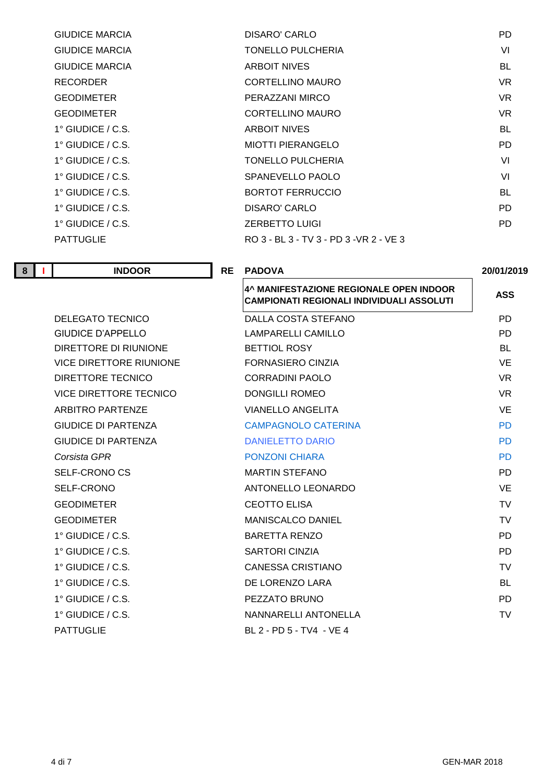| DISARO' CARLO                           | PD. |
|-----------------------------------------|-----|
| <b>TONELLO PULCHERIA</b>                | VI  |
| <b>ARBOIT NIVES</b>                     | BL  |
| CORTELLINO MAURO                        | VR. |
| PERAZZANI MIRCO                         | VR. |
| <b>CORTELLINO MAURO</b>                 | VR. |
| <b>ARBOIT NIVES</b>                     | BL  |
| <b>MIOTTI PIERANGELO</b>                | PD. |
| TONELLO PULCHERIA                       | VI  |
| SPANEVELLO PAOLO                        | VI  |
| <b>BORTOT FERRUCCIO</b>                 | BL  |
| DISARO' CARLO                           | PD. |
| <b>ZERBETTO LUIGI</b>                   | PD. |
| RO 3 - BL 3 - TV 3 - PD 3 - VR 2 - VE 3 |     |
|                                         |     |

| 8 | <b>INDOOR</b> | <b>PADOVA</b><br><b>RE</b> | 20/01/2019 |
|---|---------------|----------------------------|------------|
|   |               |                            |            |

| 4^ MANIFESTAZIONE REGIONALE OPEN INDOOR<br><b>CAMPIONATI REGIONALI INDIVIDUALI ASSOLUTI</b> | <b>ASS</b> |
|---------------------------------------------------------------------------------------------|------------|
| DALLA COSTA STEFANO                                                                         | PD.        |
| LAMPARELLI CAMILLO                                                                          | PD.        |
| <b>BETTIOL ROSY</b>                                                                         | BL         |
| FORNASIERO CINZIA                                                                           | VE.        |
| <b>CORRADINI PAOLO</b>                                                                      | VR.        |
| <b>DONGILLI ROMEO</b>                                                                       | <b>VR</b>  |
| <b>VIANELLO ANGELITA</b>                                                                    | <b>VE</b>  |
| <b>CAMPAGNOLO CATERINA</b>                                                                  | <b>PD</b>  |
| <b>DANIELETTO DARIO</b>                                                                     | <b>PD</b>  |
| <b>PONZONI CHIARA</b>                                                                       | <b>PD</b>  |
| <b>MARTIN STEFANO</b>                                                                       | PD.        |
| ANTONELLO LEONARDO                                                                          | VE.        |
| <b>CEOTTO ELISA</b>                                                                         | TV         |
| <b>MANISCALCO DANIEL</b>                                                                    | <b>TV</b>  |
| <b>BARETTA RENZO</b>                                                                        | PD.        |
| <b>SARTORI CINZIA</b>                                                                       | PD.        |
| <b>CANESSA CRISTIANO</b>                                                                    | <b>TV</b>  |
| DE LORENZO LARA                                                                             | BL.        |
| PEZZATO BRUNO                                                                               | PD.        |
| NANNARELLI ANTONELLA                                                                        | <b>TV</b>  |
| BL 2 - PD 5 - TV4 - VE 4                                                                    |            |
|                                                                                             |            |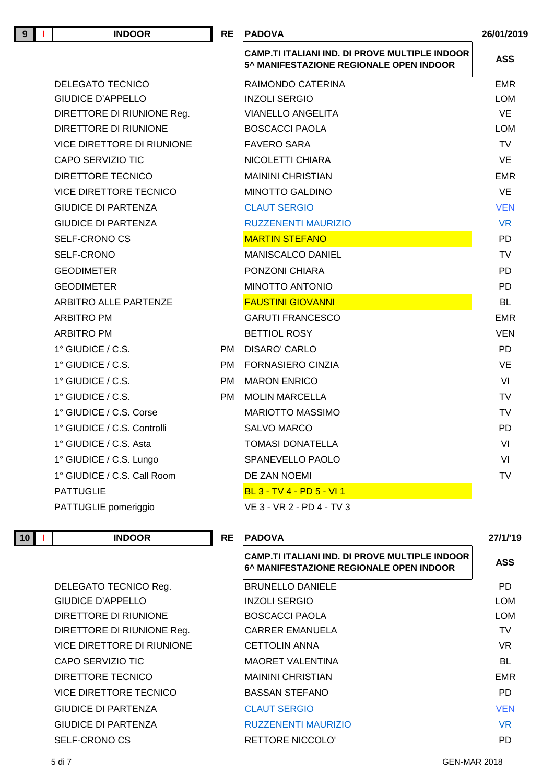| 9 | <b>INDOOR</b>                     | <b>RE</b> | <b>PADOVA</b>                                                                                    | 26/01/2019 |
|---|-----------------------------------|-----------|--------------------------------------------------------------------------------------------------|------------|
|   |                                   |           | <b>CAMP.TI ITALIANI IND. DI PROVE MULTIPLE INDOOR</b><br>5^ MANIFESTAZIONE REGIONALE OPEN INDOOR | <b>ASS</b> |
|   | <b>DELEGATO TECNICO</b>           |           | RAIMONDO CATERINA                                                                                | <b>EMR</b> |
|   | <b>GIUDICE D'APPELLO</b>          |           | <b>INZOLI SERGIO</b>                                                                             | <b>LOM</b> |
|   | DIRETTORE DI RIUNIONE Reg.        |           | <b>VIANELLO ANGELITA</b>                                                                         | <b>VE</b>  |
|   | DIRETTORE DI RIUNIONE             |           | <b>BOSCACCI PAOLA</b>                                                                            | <b>LOM</b> |
|   | <b>VICE DIRETTORE DI RIUNIONE</b> |           | <b>FAVERO SARA</b>                                                                               | <b>TV</b>  |
|   | CAPO SERVIZIO TIC                 |           | NICOLETTI CHIARA                                                                                 | <b>VE</b>  |
|   | DIRETTORE TECNICO                 |           | <b>MAININI CHRISTIAN</b>                                                                         | <b>EMR</b> |
|   | VICE DIRETTORE TECNICO            |           | <b>MINOTTO GALDINO</b>                                                                           | VE         |
|   | <b>GIUDICE DI PARTENZA</b>        |           | <b>CLAUT SERGIO</b>                                                                              | <b>VEN</b> |
|   | <b>GIUDICE DI PARTENZA</b>        |           | <b>RUZZENENTI MAURIZIO</b>                                                                       | <b>VR</b>  |
|   | SELF-CRONO CS                     |           | <b>MARTIN STEFANO</b>                                                                            | <b>PD</b>  |
|   | SELF-CRONO                        |           | <b>MANISCALCO DANIEL</b>                                                                         | <b>TV</b>  |
|   | <b>GEODIMETER</b>                 |           | PONZONI CHIARA                                                                                   | <b>PD</b>  |
|   | <b>GEODIMETER</b>                 |           | MINOTTO ANTONIO                                                                                  | <b>PD</b>  |
|   | ARBITRO ALLE PARTENZE             |           | <b>FAUSTINI GIOVANNI</b>                                                                         | BL         |
|   | <b>ARBITRO PM</b>                 |           | <b>GARUTI FRANCESCO</b>                                                                          | <b>EMR</b> |
|   | <b>ARBITRO PM</b>                 |           | <b>BETTIOL ROSY</b>                                                                              | <b>VEN</b> |
|   | $1^\circ$ GIUDICE / C.S.          | PM.       | DISARO' CARLO                                                                                    | <b>PD</b>  |
|   | $1^\circ$ GIUDICE / C.S.          | PM.       | <b>FORNASIERO CINZIA</b>                                                                         | <b>VE</b>  |
|   | $1^\circ$ GIUDICE / C.S.          | <b>PM</b> | <b>MARON ENRICO</b>                                                                              | VI         |
|   | $1^\circ$ GIUDICE / C.S.          | PM.       | <b>MOLIN MARCELLA</b>                                                                            | <b>TV</b>  |
|   | 1° GIUDICE / C.S. Corse           |           | <b>MARIOTTO MASSIMO</b>                                                                          | <b>TV</b>  |
|   | 1° GIUDICE / C.S. Controlli       |           | <b>SALVO MARCO</b>                                                                               | PD         |
|   | 1° GIUDICE / C.S. Asta            |           | <b>TOMASI DONATELLA</b>                                                                          | VI         |
|   | 1° GIUDICE / C.S. Lungo           |           | SPANEVELLO PAOLO                                                                                 | VI         |
|   | 1° GIUDICE / C.S. Call Room       |           | DE ZAN NOEMI                                                                                     | <b>TV</b>  |
|   | <b>PATTUGLIE</b>                  |           | BL 3 - TV 4 - PD 5 - VI 1                                                                        |            |
|   | PATTUGLIE pomeriggio              |           | VE 3 - VR 2 - PD 4 - TV 3                                                                        |            |

**10 I INDOOR RE PADOVA 27/1/'19**

DELEGATO TECNICO Reg. BI GIUDICE D'APPELLO IN DIRETTORE DI RIUNIONE BOSCACCI PARTICIPATIONE DIRETTORE DI RIUNIONE Reg. CARRE VICE DIRETTORE DI RIUNIONE CI CAPO SERVIZIO TIC **MACCAPO SERVIZIO TIC** DIRETTORE TECNICO MAININI CHARGE VICE DIRETTORE TECNICO BASSANTE CONSTRUCTION CONTACT STEP AND THE BASIC STEPANO POINT OF BASIC STEPANO POINT O GIUDICE DI PARTENZA CI GIUDICE DI PARTENZA RUZZENENTI MANURIZIO VALIMENTI MANURIZIO VALIMENTI MANURIZIO VALIMENTI MANURIZIO VALIMENTI SELF-CRONO CS
BELF-CRONO CS
RETTORE NICCOLO

| CAMP.TI ITALIANI IND. DI PROVE MULTIPLE INDOOR<br>6^ MANIFESTAZIONE REGIONALE OPEN INDOOR | ASS        |
|-------------------------------------------------------------------------------------------|------------|
| <b>BRUNELLO DANIELE</b>                                                                   | PD         |
| <b>INZOLI SERGIO</b>                                                                      | <b>LOM</b> |
| <b>BOSCACCI PAOLA</b>                                                                     | LOM        |
| CARRER EMANUELA                                                                           | <b>TV</b>  |
| <b>CETTOLIN ANNA</b>                                                                      | VR.        |
| MAORET VALENTINA                                                                          | <b>BL</b>  |
| MAININI CHRISTIAN                                                                         | EMR        |
| BASSAN STEFANO                                                                            | PD         |
| <b>CLAUT SERGIO</b>                                                                       | <b>VEN</b> |
| <b>RUZZENENTI MAURIZIO</b>                                                                | <b>VR</b>  |
| <b>RETTORE NICCOLO'</b>                                                                   | PD         |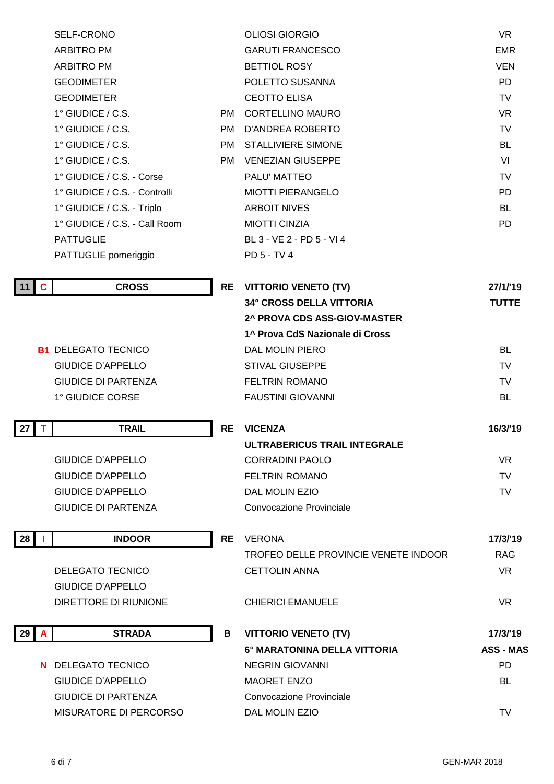|    |          | SELF-CRONO                    |           | <b>OLIOSI GIORGIO</b>                | <b>VR</b>        |
|----|----------|-------------------------------|-----------|--------------------------------------|------------------|
|    |          | <b>ARBITRO PM</b>             |           | <b>GARUTI FRANCESCO</b>              | <b>EMR</b>       |
|    |          | <b>ARBITRO PM</b>             |           | <b>BETTIOL ROSY</b>                  | <b>VEN</b>       |
|    |          | <b>GEODIMETER</b>             |           | POLETTO SUSANNA                      | <b>PD</b>        |
|    |          | <b>GEODIMETER</b>             |           | <b>CEOTTO ELISA</b>                  | <b>TV</b>        |
|    |          | $1^\circ$ GIUDICE / C.S.      | PM.       | <b>CORTELLINO MAURO</b>              | <b>VR</b>        |
|    |          | 1° GIUDICE / C.S.             | <b>PM</b> | <b>D'ANDREA ROBERTO</b>              | <b>TV</b>        |
|    |          | 1° GIUDICE / C.S.             | PM        | <b>STALLIVIERE SIMONE</b>            | <b>BL</b>        |
|    |          | 1° GIUDICE / C.S.             | PM        | <b>VENEZIAN GIUSEPPE</b>             | VI               |
|    |          | 1° GIUDICE / C.S. - Corse     |           | PALU' MATTEO                         | <b>TV</b>        |
|    |          | 1° GIUDICE / C.S. - Controlli |           | <b>MIOTTI PIERANGELO</b>             | <b>PD</b>        |
|    |          | 1° GIUDICE / C.S. - Triplo    |           | <b>ARBOIT NIVES</b>                  | <b>BL</b>        |
|    |          | 1° GIUDICE / C.S. - Call Room |           | <b>MIOTTI CINZIA</b>                 | <b>PD</b>        |
|    |          | <b>PATTUGLIE</b>              |           | BL 3 - VE 2 - PD 5 - VI 4            |                  |
|    |          | PATTUGLIE pomeriggio          |           | PD 5 - TV 4                          |                  |
|    |          |                               |           |                                      |                  |
| 11 | <b>C</b> | <b>CROSS</b>                  | <b>RE</b> | <b>VITTORIO VENETO (TV)</b>          | 27/1/19          |
|    |          |                               |           | <b>34° CROSS DELLA VITTORIA</b>      | <b>TUTTE</b>     |
|    |          |                               |           | 2^ PROVA CDS ASS-GIOV-MASTER         |                  |
|    |          |                               |           | 1^ Prova CdS Nazionale di Cross      |                  |
|    |          | <b>B1 DELEGATO TECNICO</b>    |           | DAL MOLIN PIERO                      | BL               |
|    |          | <b>GIUDICE D'APPELLO</b>      |           | <b>STIVAL GIUSEPPE</b>               | <b>TV</b>        |
|    |          | <b>GIUDICE DI PARTENZA</b>    |           | <b>FELTRIN ROMANO</b>                | TV               |
|    |          | 1° GIUDICE CORSE              |           | <b>FAUSTINI GIOVANNI</b>             | BL               |
| 27 | Τ        | <b>TRAIL</b>                  | <b>RE</b> | <b>VICENZA</b>                       | 16/3/'19         |
|    |          |                               |           | ULTRABERICUS TRAIL INTEGRALE         |                  |
|    |          | <b>GIUDICE D'APPELLO</b>      |           | <b>CORRADINI PAOLO</b>               | <b>VR</b>        |
|    |          | <b>GIUDICE D'APPELLO</b>      |           | <b>FELTRIN ROMANO</b>                | <b>TV</b>        |
|    |          | <b>GIUDICE D'APPELLO</b>      |           | DAL MOLIN EZIO                       | <b>TV</b>        |
|    |          | <b>GIUDICE DI PARTENZA</b>    |           | Convocazione Provinciale             |                  |
|    |          |                               |           |                                      |                  |
| 28 |          | <b>INDOOR</b>                 | <b>RE</b> | <b>VERONA</b>                        | 17/3/'19         |
|    |          |                               |           | TROFEO DELLE PROVINCIE VENETE INDOOR | <b>RAG</b>       |
|    |          | <b>DELEGATO TECNICO</b>       |           | <b>CETTOLIN ANNA</b>                 | <b>VR</b>        |
|    |          | <b>GIUDICE D'APPELLO</b>      |           |                                      |                  |
|    |          | DIRETTORE DI RIUNIONE         |           | <b>CHIERICI EMANUELE</b>             | <b>VR</b>        |
| 29 | A        | <b>STRADA</b>                 | B         | <b>VITTORIO VENETO (TV)</b>          | 17/3/'19         |
|    |          |                               |           | 6° MARATONINA DELLA VITTORIA         | <b>ASS - MAS</b> |
|    |          | N DELEGATO TECNICO            |           | <b>NEGRIN GIOVANNI</b>               | <b>PD</b>        |
|    |          | <b>GIUDICE D'APPELLO</b>      |           | <b>MAORET ENZO</b>                   | BL               |
|    |          | <b>GIUDICE DI PARTENZA</b>    |           | <b>Convocazione Provinciale</b>      |                  |
|    |          | MISURATORE DI PERCORSO        |           | DAL MOLIN EZIO                       | TV               |
|    |          |                               |           |                                      |                  |
|    |          |                               |           |                                      |                  |